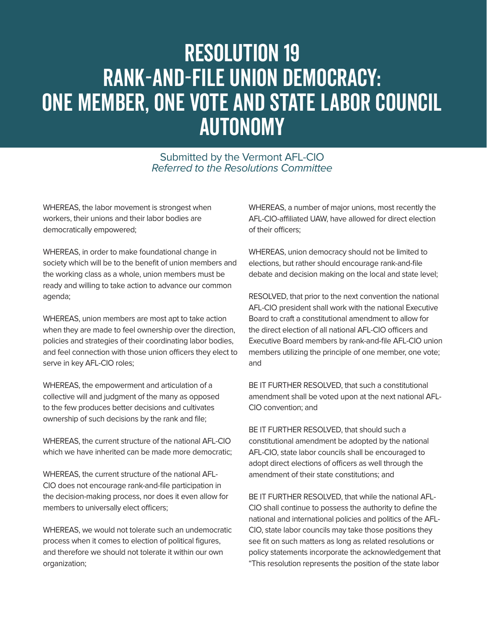## Resolution 19 RANK-AND-FILE UNION DEMOCRACY: ONE MEMBER, ONE VOTE AND STATE LABOR COUNCIL AUTONOMY

Submitted by the Vermont AFL-CIO Referred to the Resolutions Committee

WHEREAS, the labor movement is strongest when workers, their unions and their labor bodies are democratically empowered;

WHEREAS, in order to make foundational change in society which will be to the benefit of union members and the working class as a whole, union members must be ready and willing to take action to advance our common agenda;

WHEREAS, union members are most apt to take action when they are made to feel ownership over the direction, policies and strategies of their coordinating labor bodies, and feel connection with those union officers they elect to serve in key AFL-CIO roles;

WHEREAS, the empowerment and articulation of a collective will and judgment of the many as opposed to the few produces better decisions and cultivates ownership of such decisions by the rank and file;

WHEREAS, the current structure of the national AFL-CIO which we have inherited can be made more democratic;

WHEREAS, the current structure of the national AFL-CIO does not encourage rank-and-file participation in the decision-making process, nor does it even allow for members to universally elect officers;

WHEREAS, we would not tolerate such an undemocratic process when it comes to election of political figures, and therefore we should not tolerate it within our own organization;

WHEREAS, a number of major unions, most recently the AFL-CIO-affiliated UAW, have allowed for direct election of their officers;

WHEREAS, union democracy should not be limited to elections, but rather should encourage rank-and-file debate and decision making on the local and state level;

RESOLVED, that prior to the next convention the national AFL-CIO president shall work with the national Executive Board to craft a constitutional amendment to allow for the direct election of all national AFL-CIO officers and Executive Board members by rank-and-file AFL-CIO union members utilizing the principle of one member, one vote; and

BE IT FURTHER RESOLVED, that such a constitutional amendment shall be voted upon at the next national AFL-CIO convention; and

BE IT FURTHER RESOLVED, that should such a constitutional amendment be adopted by the national AFL-CIO, state labor councils shall be encouraged to adopt direct elections of officers as well through the amendment of their state constitutions; and

BE IT FURTHER RESOLVED, that while the national AFL-CIO shall continue to possess the authority to define the national and international policies and politics of the AFL-CIO, state labor councils may take those positions they see fit on such matters as long as related resolutions or policy statements incorporate the acknowledgement that "This resolution represents the position of the state labor